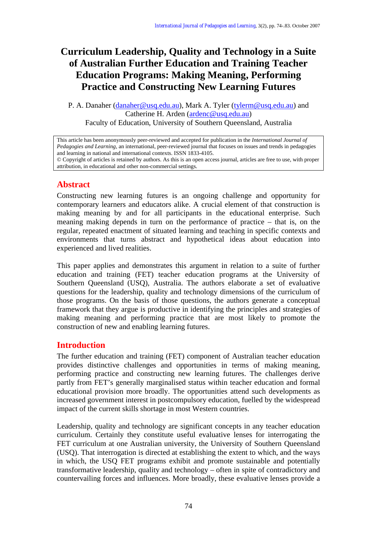# **Curriculum Leadership, Quality and Technology in a Suite of Australian Further Education and Training Teacher Education Programs: Making Meaning, Performing Practice and Constructing New Learning Futures**

P. A. Danaher (danaher@usq.edu.au), Mark A. Tyler (tylerm@usq.edu.au) and Catherine H. Arden (ardenc@usq.edu.au) Faculty of Education, University of Southern Queensland, Australia

This article has been anonymously peer-reviewed and accepted for publication in the *International Journal of Pedagogies and Learning*, an international, peer-reviewed journal that focuses on issues and trends in pedagogies and learning in national and international contexts. ISSN 1833-4105.

© Copyright of articles is retained by authors. As this is an open access journal, articles are free to use, with proper attribution, in educational and other non-commercial settings.

## **Abstract**

Constructing new learning futures is an ongoing challenge and opportunity for contemporary learners and educators alike. A crucial element of that construction is making meaning by and for all participants in the educational enterprise. Such meaning making depends in turn on the performance of practice – that is, on the regular, repeated enactment of situated learning and teaching in specific contexts and environments that turns abstract and hypothetical ideas about education into experienced and lived realities.

This paper applies and demonstrates this argument in relation to a suite of further education and training (FET) teacher education programs at the University of Southern Queensland (USQ), Australia. The authors elaborate a set of evaluative questions for the leadership, quality and technology dimensions of the curriculum of those programs. On the basis of those questions, the authors generate a conceptual framework that they argue is productive in identifying the principles and strategies of making meaning and performing practice that are most likely to promote the construction of new and enabling learning futures.

## **Introduction**

The further education and training (FET) component of Australian teacher education provides distinctive challenges and opportunities in terms of making meaning, performing practice and constructing new learning futures. The challenges derive partly from FET's generally marginalised status within teacher education and formal educational provision more broadly. The opportunities attend such developments as increased government interest in postcompulsory education, fuelled by the widespread impact of the current skills shortage in most Western countries.

Leadership, quality and technology are significant concepts in any teacher education curriculum. Certainly they constitute useful evaluative lenses for interrogating the FET curriculum at one Australian university, the University of Southern Queensland (USQ). That interrogation is directed at establishing the extent to which, and the ways in which, the USQ FET programs exhibit and promote sustainable and potentially transformative leadership, quality and technology – often in spite of contradictory and countervailing forces and influences. More broadly, these evaluative lenses provide a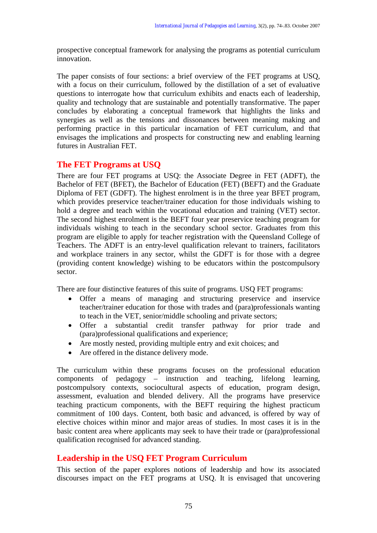prospective conceptual framework for analysing the programs as potential curriculum innovation.

The paper consists of four sections: a brief overview of the FET programs at USQ, with a focus on their curriculum, followed by the distillation of a set of evaluative questions to interrogate how that curriculum exhibits and enacts each of leadership, quality and technology that are sustainable and potentially transformative. The paper concludes by elaborating a conceptual framework that highlights the links and synergies as well as the tensions and dissonances between meaning making and performing practice in this particular incarnation of FET curriculum, and that envisages the implications and prospects for constructing new and enabling learning futures in Australian FET.

## **The FET Programs at USQ**

There are four FET programs at USQ: the Associate Degree in FET (ADFT), the Bachelor of FET (BFET), the Bachelor of Education (FET) (BEFT) and the Graduate Diploma of FET (GDFT). The highest enrolment is in the three year BFET program, which provides preservice teacher/trainer education for those individuals wishing to hold a degree and teach within the vocational education and training (VET) sector. The second highest enrolment is the BEFT four year preservice teaching program for individuals wishing to teach in the secondary school sector. Graduates from this program are eligible to apply for teacher registration with the Queensland College of Teachers. The ADFT is an entry-level qualification relevant to trainers, facilitators and workplace trainers in any sector, whilst the GDFT is for those with a degree (providing content knowledge) wishing to be educators within the postcompulsory sector.

There are four distinctive features of this suite of programs. USQ FET programs:

- Offer a means of managing and structuring preservice and inservice teacher/trainer education for those with trades and (para)professionals wanting to teach in the VET, senior/middle schooling and private sectors;
- Offer a substantial credit transfer pathway for prior trade and (para)professional qualifications and experience;
- Are mostly nested, providing multiple entry and exit choices; and
- Are offered in the distance delivery mode.

The curriculum within these programs focuses on the professional education components of pedagogy – instruction and teaching, lifelong learning, postcompulsory contexts, sociocultural aspects of education, program design, assessment, evaluation and blended delivery. All the programs have preservice teaching practicum components, with the BEFT requiring the highest practicum commitment of 100 days. Content, both basic and advanced, is offered by way of elective choices within minor and major areas of studies. In most cases it is in the basic content area where applicants may seek to have their trade or (para)professional qualification recognised for advanced standing.

## **Leadership in the USQ FET Program Curriculum**

This section of the paper explores notions of leadership and how its associated discourses impact on the FET programs at USQ. It is envisaged that uncovering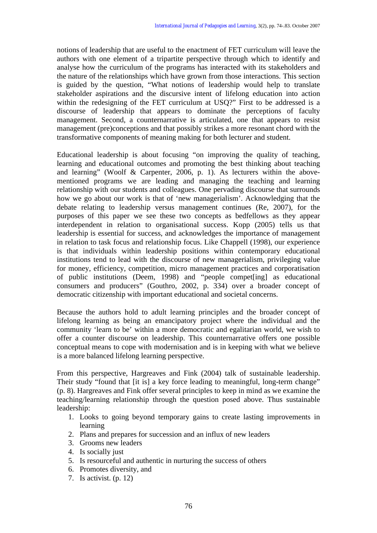notions of leadership that are useful to the enactment of FET curriculum will leave the authors with one element of a tripartite perspective through which to identify and analyse how the curriculum of the programs has interacted with its stakeholders and the nature of the relationships which have grown from those interactions. This section is guided by the question, "What notions of leadership would help to translate stakeholder aspirations and the discursive intent of lifelong education into action within the redesigning of the FET curriculum at USQ?" First to be addressed is a discourse of leadership that appears to dominate the perceptions of faculty management. Second, a counternarrative is articulated, one that appears to resist management (pre)conceptions and that possibly strikes a more resonant chord with the transformative components of meaning making for both lecturer and student.

Educational leadership is about focusing "on improving the quality of teaching, learning and educational outcomes and promoting the best thinking about teaching and learning" (Woolf & Carpenter, 2006, p. 1). As lecturers within the abovementioned programs we are leading and managing the teaching and learning relationship with our students and colleagues. One pervading discourse that surrounds how we go about our work is that of 'new managerialism'. Acknowledging that the debate relating to leadership versus management continues (Re, 2007), for the purposes of this paper we see these two concepts as bedfellows as they appear interdependent in relation to organisational success. Kopp (2005) tells us that leadership is essential for success, and acknowledges the importance of management in relation to task focus and relationship focus. Like Chappell (1998), our experience is that individuals within leadership positions within contemporary educational institutions tend to lead with the discourse of new managerialism, privileging value for money, efficiency, competition, micro management practices and corporatisation of public institutions (Deem, 1998) and "people compet[ing] as educational consumers and producers" (Gouthro, 2002, p. 334) over a broader concept of democratic citizenship with important educational and societal concerns.

Because the authors hold to adult learning principles and the broader concept of lifelong learning as being an emancipatory project where the individual and the community 'learn to be' within a more democratic and egalitarian world, we wish to offer a counter discourse on leadership. This counternarrative offers one possible conceptual means to cope with modernisation and is in keeping with what we believe is a more balanced lifelong learning perspective.

From this perspective, Hargreaves and Fink (2004) talk of sustainable leadership. Their study "found that [it is] a key force leading to meaningful, long-term change" (p. 8). Hargreaves and Fink offer several principles to keep in mind as we examine the teaching/learning relationship through the question posed above. Thus sustainable leadership:

- 1. Looks to going beyond temporary gains to create lasting improvements in learning
- 2. Plans and prepares for succession and an influx of new leaders
- 3. Grooms new leaders
- 4. Is socially just
- 5. Is resourceful and authentic in nurturing the success of others
- 6. Promotes diversity, and
- 7. Is activist. (p. 12)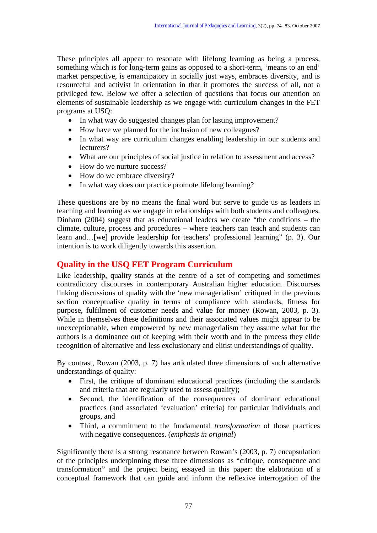These principles all appear to resonate with lifelong learning as being a process, something which is for long-term gains as opposed to a short-term, 'means to an end' market perspective, is emancipatory in socially just ways, embraces diversity, and is resourceful and activist in orientation in that it promotes the success of all, not a privileged few. Below we offer a selection of questions that focus our attention on elements of sustainable leadership as we engage with curriculum changes in the FET programs at USQ:

- In what way do suggested changes plan for lasting improvement?
- How have we planned for the inclusion of new colleagues?
- In what way are curriculum changes enabling leadership in our students and lecturers?
- What are our principles of social justice in relation to assessment and access?
- How do we nurture success?
- How do we embrace diversity?
- In what way does our practice promote lifelong learning?

These questions are by no means the final word but serve to guide us as leaders in teaching and learning as we engage in relationships with both students and colleagues. Dinham (2004) suggest that as educational leaders we create "the conditions – the climate, culture, process and procedures – where teachers can teach and students can learn and…[we] provide leadership for teachers' professional learning" (p. 3). Our intention is to work diligently towards this assertion.

## **Quality in the USQ FET Program Curriculum**

Like leadership, quality stands at the centre of a set of competing and sometimes contradictory discourses in contemporary Australian higher education. Discourses linking discussions of quality with the 'new managerialism' critiqued in the previous section conceptualise quality in terms of compliance with standards, fitness for purpose, fulfilment of customer needs and value for money (Rowan, 2003, p. 3). While in themselves these definitions and their associated values might appear to be unexceptionable, when empowered by new managerialism they assume what for the authors is a dominance out of keeping with their worth and in the process they elide recognition of alternative and less exclusionary and elitist understandings of quality.

By contrast, Rowan (2003, p. 7) has articulated three dimensions of such alternative understandings of quality:

- First, the critique of dominant educational practices (including the standards and criteria that are regularly used to assess quality);
- Second, the identification of the consequences of dominant educational practices (and associated 'evaluation' criteria) for particular individuals and groups, and
- Third, a commitment to the fundamental *transformation* of those practices with negative consequences. (*emphasis in original*)

Significantly there is a strong resonance between Rowan's (2003, p. 7) encapsulation of the principles underpinning these three dimensions as "critique, consequence and transformation" and the project being essayed in this paper: the elaboration of a conceptual framework that can guide and inform the reflexive interrogation of the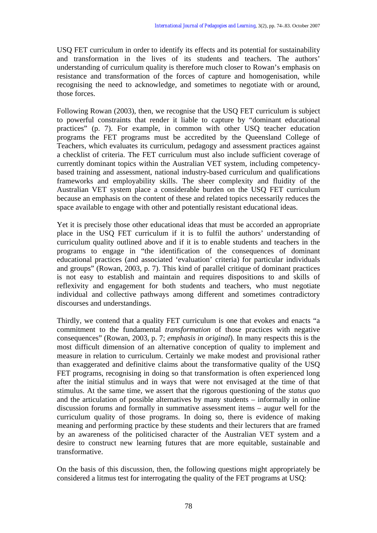USQ FET curriculum in order to identify its effects and its potential for sustainability and transformation in the lives of its students and teachers. The authors' understanding of curriculum quality is therefore much closer to Rowan's emphasis on resistance and transformation of the forces of capture and homogenisation, while recognising the need to acknowledge, and sometimes to negotiate with or around, those forces.

Following Rowan (2003), then, we recognise that the USQ FET curriculum is subject to powerful constraints that render it liable to capture by "dominant educational practices" (p. 7). For example, in common with other USQ teacher education programs the FET programs must be accredited by the Queensland College of Teachers, which evaluates its curriculum, pedagogy and assessment practices against a checklist of criteria. The FET curriculum must also include sufficient coverage of currently dominant topics within the Australian VET system, including competencybased training and assessment, national industry-based curriculum and qualifications frameworks and employability skills. The sheer complexity and fluidity of the Australian VET system place a considerable burden on the USQ FET curriculum because an emphasis on the content of these and related topics necessarily reduces the space available to engage with other and potentially resistant educational ideas.

Yet it is precisely those other educational ideas that must be accorded an appropriate place in the USQ FET curriculum if it is to fulfil the authors' understanding of curriculum quality outlined above and if it is to enable students and teachers in the programs to engage in "the identification of the consequences of dominant educational practices (and associated 'evaluation' criteria) for particular individuals and groups" (Rowan, 2003, p. 7). This kind of parallel critique of dominant practices is not easy to establish and maintain and requires dispositions to and skills of reflexivity and engagement for both students and teachers, who must negotiate individual and collective pathways among different and sometimes contradictory discourses and understandings.

Thirdly, we contend that a quality FET curriculum is one that evokes and enacts "a commitment to the fundamental *transformation* of those practices with negative consequences" (Rowan, 2003, p. 7; *emphasis in original*). In many respects this is the most difficult dimension of an alternative conception of quality to implement and measure in relation to curriculum. Certainly we make modest and provisional rather than exaggerated and definitive claims about the transformative quality of the USQ FET programs, recognising in doing so that transformation is often experienced long after the initial stimulus and in ways that were not envisaged at the time of that stimulus. At the same time, we assert that the rigorous questioning of the *status quo* and the articulation of possible alternatives by many students – informally in online discussion forums and formally in summative assessment items – augur well for the curriculum quality of those programs. In doing so, there is evidence of making meaning and performing practice by these students and their lecturers that are framed by an awareness of the politicised character of the Australian VET system and a desire to construct new learning futures that are more equitable, sustainable and transformative.

On the basis of this discussion, then, the following questions might appropriately be considered a litmus test for interrogating the quality of the FET programs at USQ: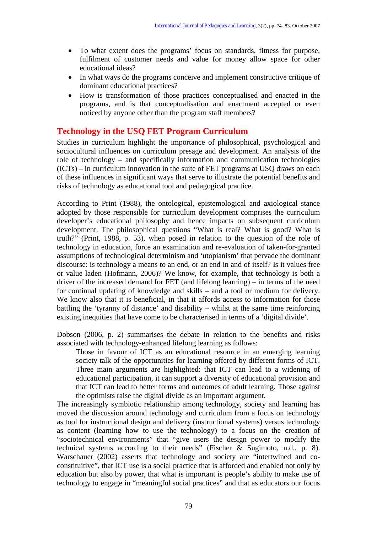- To what extent does the programs' focus on standards, fitness for purpose, fulfilment of customer needs and value for money allow space for other educational ideas?
- In what ways do the programs conceive and implement constructive critique of dominant educational practices?
- How is transformation of those practices conceptualised and enacted in the programs, and is that conceptualisation and enactment accepted or even noticed by anyone other than the program staff members?

### **Technology in the USQ FET Program Curriculum**

Studies in curriculum highlight the importance of philosophical, psychological and sociocultural influences on curriculum presage and development. An analysis of the role of technology – and specifically information and communication technologies (ICTs) – in curriculum innovation in the suite of FET programs at USQ draws on each of these influences in significant ways that serve to illustrate the potential benefits and risks of technology as educational tool and pedagogical practice.

According to Print (1988), the ontological, epistemological and axiological stance adopted by those responsible for curriculum development comprises the curriculum developer's educational philosophy and hence impacts on subsequent curriculum development. The philosophical questions "What is real? What is good? What is truth?" (Print, 1988, p. 53), when posed in relation to the question of the role of technology in education, force an examination and re-evaluation of taken-for-granted assumptions of technological determinism and 'utopianism' that pervade the dominant discourse: is technology a means to an end, or an end in and of itself? Is it values free or value laden (Hofmann, 2006)? We know, for example, that technology is both a driver of the increased demand for FET (and lifelong learning) – in terms of the need for continual updating of knowledge and skills – and a tool or medium for delivery. We know also that it is beneficial, in that it affords access to information for those battling the 'tyranny of distance' and disability – whilst at the same time reinforcing existing inequities that have come to be characterised in terms of a 'digital divide'.

Dobson (2006, p. 2) summarises the debate in relation to the benefits and risks associated with technology-enhanced lifelong learning as follows:

Those in favour of ICT as an educational resource in an emerging learning society talk of the opportunities for learning offered by different forms of ICT. Three main arguments are highlighted: that ICT can lead to a widening of educational participation, it can support a diversity of educational provision and that ICT can lead to better forms and outcomes of adult learning. Those against the optimists raise the digital divide as an important argument.

The increasingly symbiotic relationship among technology, society and learning has moved the discussion around technology and curriculum from a focus on technology as tool for instructional design and delivery (instructional systems) versus technology as content (learning how to use the technology) to a focus on the creation of "sociotechnical environments" that "give users the design power to modify the technical systems according to their needs" (Fischer  $\&$  Sugimoto, n.d., p. 8). Warschauer (2002) asserts that technology and society are "intertwined and coconstituitive", that ICT use is a social practice that is afforded and enabled not only by education but also by power, that what is important is people's ability to make use of technology to engage in "meaningful social practices" and that as educators our focus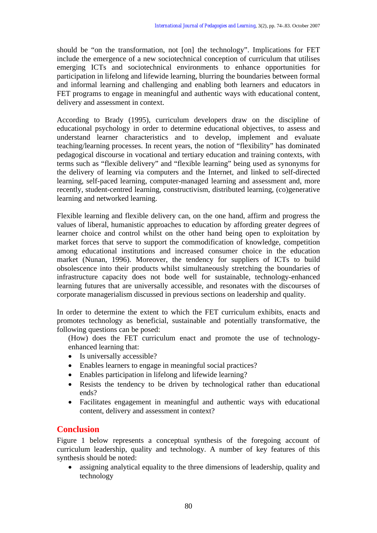should be "on the transformation, not [on] the technology". Implications for FET include the emergence of a new sociotechnical conception of curriculum that utilises emerging ICTs and sociotechnical environments to enhance opportunities for participation in lifelong and lifewide learning, blurring the boundaries between formal and informal learning and challenging and enabling both learners and educators in FET programs to engage in meaningful and authentic ways with educational content, delivery and assessment in context.

According to Brady (1995), curriculum developers draw on the discipline of educational psychology in order to determine educational objectives, to assess and understand learner characteristics and to develop, implement and evaluate teaching/learning processes. In recent years, the notion of "flexibility" has dominated pedagogical discourse in vocational and tertiary education and training contexts, with terms such as "flexible delivery" and "flexible learning" being used as synonyms for the delivery of learning via computers and the Internet, and linked to self-directed learning, self-paced learning, computer-managed learning and assessment and, more recently, student-centred learning, constructivism, distributed learning, (co)generative learning and networked learning.

Flexible learning and flexible delivery can, on the one hand, affirm and progress the values of liberal, humanistic approaches to education by affording greater degrees of learner choice and control whilst on the other hand being open to exploitation by market forces that serve to support the commodification of knowledge, competition among educational institutions and increased consumer choice in the education market (Nunan, 1996). Moreover, the tendency for suppliers of ICTs to build obsolescence into their products whilst simultaneously stretching the boundaries of infrastructure capacity does not bode well for sustainable, technology-enhanced learning futures that are universally accessible, and resonates with the discourses of corporate managerialism discussed in previous sections on leadership and quality.

In order to determine the extent to which the FET curriculum exhibits, enacts and promotes technology as beneficial, sustainable and potentially transformative, the following questions can be posed:

(How) does the FET curriculum enact and promote the use of technologyenhanced learning that:

- Is universally accessible?
- Enables learners to engage in meaningful social practices?
- Enables participation in lifelong and lifewide learning?
- Resists the tendency to be driven by technological rather than educational ends?
- Facilitates engagement in meaningful and authentic ways with educational content, delivery and assessment in context?

## **Conclusion**

Figure 1 below represents a conceptual synthesis of the foregoing account of curriculum leadership, quality and technology. A number of key features of this synthesis should be noted:

 assigning analytical equality to the three dimensions of leadership, quality and technology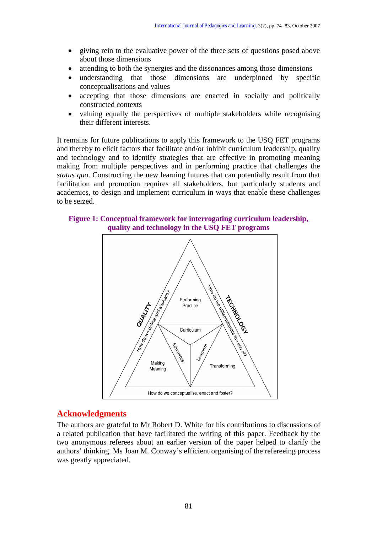- giving rein to the evaluative power of the three sets of questions posed above about those dimensions
- attending to both the synergies and the dissonances among those dimensions
- understanding that those dimensions are underpinned by specific conceptualisations and values
- accepting that those dimensions are enacted in socially and politically constructed contexts
- valuing equally the perspectives of multiple stakeholders while recognising their different interests.

It remains for future publications to apply this framework to the USQ FET programs and thereby to elicit factors that facilitate and/or inhibit curriculum leadership, quality and technology and to identify strategies that are effective in promoting meaning making from multiple perspectives and in performing practice that challenges the *status quo*. Constructing the new learning futures that can potentially result from that facilitation and promotion requires all stakeholders, but particularly students and academics, to design and implement curriculum in ways that enable these challenges to be seized.

### **Figure 1: Conceptual framework for interrogating curriculum leadership, quality and technology in the USQ FET programs**



## **Acknowledgments**

The authors are grateful to Mr Robert D. White for his contributions to discussions of a related publication that have facilitated the writing of this paper. Feedback by the two anonymous referees about an earlier version of the paper helped to clarify the authors' thinking. Ms Joan M. Conway's efficient organising of the refereeing process was greatly appreciated.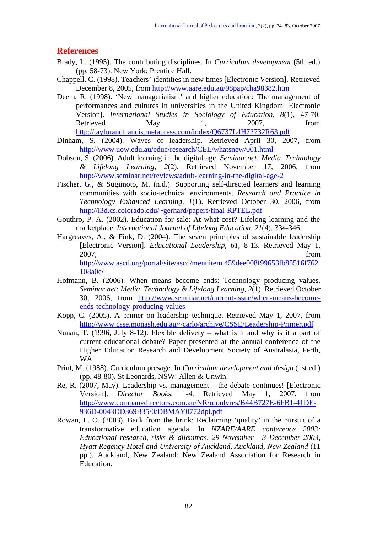#### **References**

- Brady, L. (1995). The contributing disciplines. In *Curriculum development* (5th ed.) (pp. 58-73). New York: Prentice Hall.
- Chappell, C. (1998). Teachers' identities in new times [Electronic Version]. Retrieved December 8, 2005, from http://www.aare.edu.au/98pap/cha98382.htm
- Deem, R. (1998). 'New managerialism' and higher education: The management of performances and cultures in universities in the United Kingdom [Electronic Version]. *International Studies in Sociology of Education, 8*(1), 47-70. Retrieved May 1, 2007, from http://taylorandfrancis.metapress.com/index/Q6737L4H72732R63.pdf
- Dinham, S. (2004). Waves of leadership. Retrieved April 30, 2007, from http://www.uow.edu.au/educ/research/CEL/whatsnew/001.html
- Dobson, S. (2006). Adult learning in the digital age. *Seminar.net: Media, Technology & Lifelong Learning, 2*(2). Retrieved November 17, 2006, from http://www.seminar.net/reviews/adult-learning-in-the-digital-age-2
- Fischer, G., & Sugimoto, M. (n.d.). Supporting self-directed learners and learning communities with socio-technical environments. *Research and Practice in Technology Enhanced Learning, 1*(1). Retrieved October 30, 2006, from http://l3d.cs.colorado.edu/~gerhard/papers/final-RPTEL.pdf
- Gouthro, P. A. (2002). Education for sale: At what cost? Lifelong learning and the marketplace. *International Journal of Lifelong Education, 21*(4), 334-346.
- Hargreaves, A., & Fink, D. (2004). The seven principles of sustainable leadership [Electronic Version]. *Educational Leadership, 61*, 8-13. Retrieved May 1, 2007, from http://www.ascd.org/portal/site/ascd/menuitem.459dee008f99653fb85516f762 108a0c/
- Hofmann, B. (2006). When means become ends: Technology producing values. *Seminar.net: Media, Technology & Lifelong Learning, 2*(1). Retrieved October 30, 2006, from http://www.seminar.net/current-issue/when-means-becomeends-technology-producing-values
- Kopp, C. (2005). A primer on leadership technique. Retrieved May 1, 2007, from http://www.csse.monash.edu.au/~carlo/archive/CSSE/Leadership-Primer.pdf
- Nunan, T. (1996, July 8-12). Flexible delivery what is it and why is it a part of current educational debate? Paper presented at the annual conference of the Higher Education Research and Development Society of Australasia, Perth, WA.
- Print, M. (1988). Curriculum presage. In *Curriculum development and design* (1st ed.) (pp. 48-80). St Leonards, NSW: Allen & Unwin.
- Re, R. (2007, May). Leadership vs. management the debate continues! [Electronic Version]. *Director Books*, 1-4. Retrieved May 1, 2007, from http://www.companydirectors.com.au/NR/rdonlyres/B44B727E-6FB1-41DE-936D-0043DD369B35/0/DBMAY0772dpi.pdf
- Rowan, L. O. (2003). Back from the brink: Reclaiming 'quality' in the pursuit of a transformative education agenda. In *NZARE/AARE conference 2003: Educational research, risks & dilemmas, 29 November - 3 December 2003, Hyatt Regency Hotel and University of Auckland, Auckland, New Zealand* (11 pp.). Auckland, New Zealand: New Zealand Association for Research in Education.